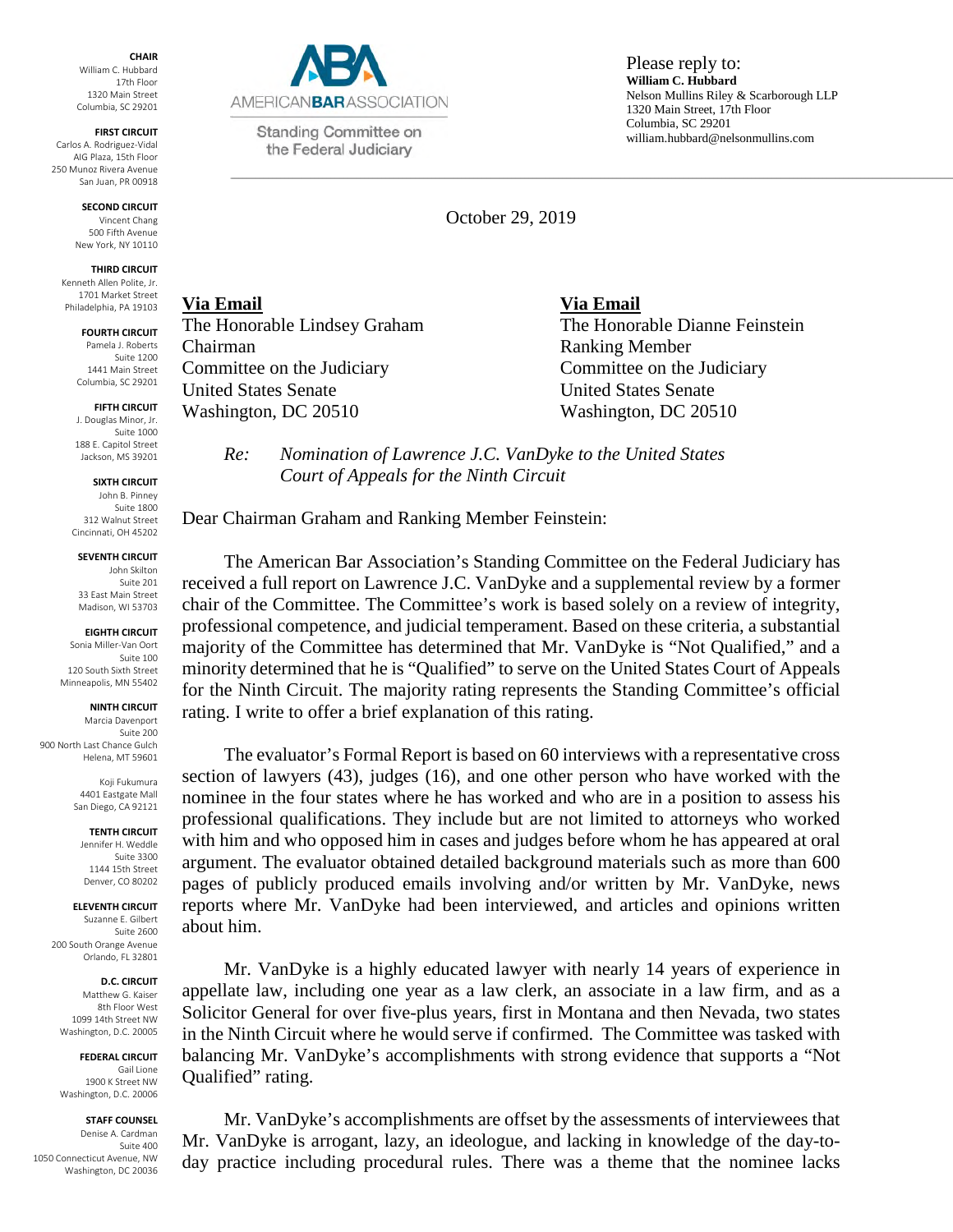**CHAIR**  William C. Hubbard 17th Floor 1320 Main Street Columbia, SC 29201

**FIRST CIRCUIT**  Carlos A. Rodriguez-Vidal AIG Plaza, 15th Floor 250 Munoz Rivera Avenue San Juan, PR 00918

> **SECOND CIRCUIT**  Vincent Chang 500 Fifth Avenue New York, NY 10110

### **THIRD CIRCUIT**

Kenneth Allen Polite, Jr. 1701 Market Street Philadelphia, PA 19103

## **FOURTH CIRCUIT**

Pamela J. Roberts Suite 1200 1441 Main Street Columbia, SC 29201

**FIFTH CIRCUIT**  J. Douglas Minor, Jr. Suite 1000 188 E. Capitol Street Jackson, MS 39201

#### **SIXTH CIRCUIT**

John B. Pinney Suite 1800 312 Walnut Street Cincinnati, OH 45202

## **SEVENTH CIRCUIT**

John Skilton Suite 201 33 East Main Street Madison, WI 53703

## **EIGHTH CIRCUIT**

Sonia Miller-Van Oort Suite 100 120 South Sixth Street Minneapolis, MN 55402

### **NINTH CIRCUIT**

Marcia Davenport Suite 200 900 North Last Chance Gulch Helena, MT 59601

> Koji Fukumura 4401 Eastgate Mall San Diego, CA 92121

**TENTH CIRCUIT**  Jennifer H. Weddle Suite 3300 1144 15th Street Denver, CO 80202

### **ELEVENTH CIRCUIT**

Suzanne E. Gilbert Suite 2600 200 South Orange Avenue Orlando, FL 32801

# **D.C. CIRCUIT**

Matthew G. Kaiser 8th Floor West 1099 14th Street NW Washington, D.C. 20005

#### **FEDERAL CIRCUIT**  Gail Lione

1900 K Street NW Washington, D.C. 20006

## **STAFF COUNSEL**

Denise A. Cardman Suite 400 1050 Connecticut Avenue, NW Washington, DC 20036



Standing Committee on the Federal Judiciary

Please reply to: **William C. Hubbard** Nelson Mullins Riley & Scarborough LLP 1320 Main Street, 17th Floor Columbia, SC 29201 william.hubbard@nelsonmullins.com

October 29, 2019

**Via Email Via Email**  Chairman Ranking Member United States Senate United States Senate

The Honorable Lindsey Graham The Honorable Dianne Feinstein Committee on the Judiciary Committee on the Judiciary Washington, DC 20510 Washington, DC 20510

*Re: Nomination of Lawrence J.C. VanDyke to the United States Court of Appeals for the Ninth Circuit* 

Dear Chairman Graham and Ranking Member Feinstein:

The American Bar Association's Standing Committee on the Federal Judiciary has received a full report on Lawrence J.C. VanDyke and a supplemental review by a former chair of the Committee. The Committee's work is based solely on a review of integrity, professional competence, and judicial temperament. Based on these criteria, a substantial majority of the Committee has determined that Mr. VanDyke is "Not Qualified," and a minority determined that he is "Qualified" to serve on the United States Court of Appeals for the Ninth Circuit. The majority rating represents the Standing Committee's official rating. I write to offer a brief explanation of this rating.

The evaluator's Formal Report is based on 60 interviews with a representative cross section of lawyers (43), judges (16), and one other person who have worked with the nominee in the four states where he has worked and who are in a position to assess his professional qualifications. They include but are not limited to attorneys who worked with him and who opposed him in cases and judges before whom he has appeared at oral argument. The evaluator obtained detailed background materials such as more than 600 pages of publicly produced emails involving and/or written by Mr. VanDyke, news reports where Mr. VanDyke had been interviewed, and articles and opinions written about him.

Mr. VanDyke is a highly educated lawyer with nearly 14 years of experience in appellate law, including one year as a law clerk, an associate in a law firm, and as a Solicitor General for over five-plus years, first in Montana and then Nevada, two states in the Ninth Circuit where he would serve if confirmed. The Committee was tasked with balancing Mr. VanDyke's accomplishments with strong evidence that supports a "Not Qualified" rating.

Mr. VanDyke's accomplishments are offset by the assessments of interviewees that Mr. VanDyke is arrogant, lazy, an ideologue, and lacking in knowledge of the day-today practice including procedural rules. There was a theme that the nominee lacks